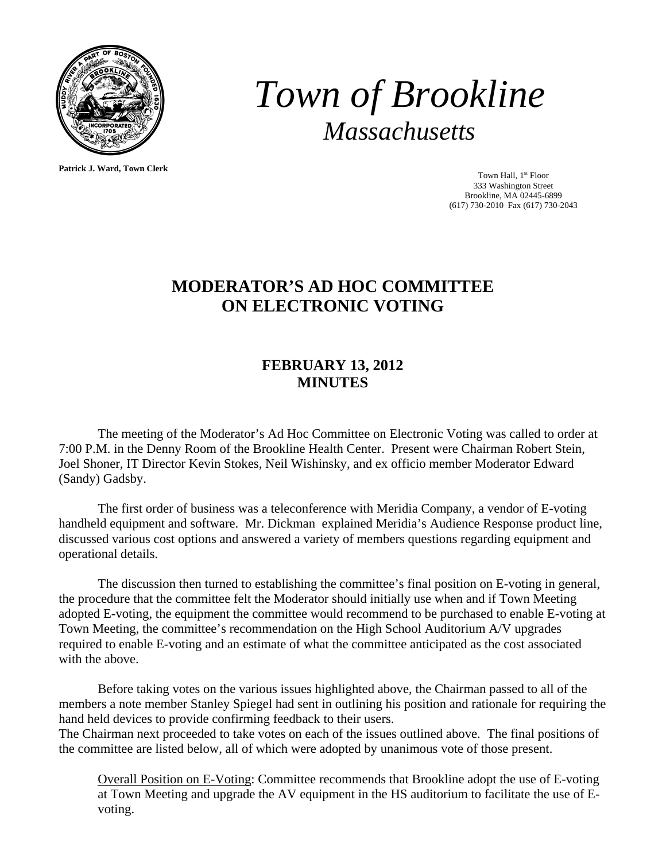

*Town of Brookline Massachusetts* 

**Patrick J. Ward, Town Clerk**

Town Hall, 1<sup>st</sup> Floor 333 Washington Street Brookline, MA 02445-6899 (617) 730-2010 Fax (617) 730-2043

## **MODERATOR'S AD HOC COMMITTEE ON ELECTRONIC VOTING**

## **FEBRUARY 13, 2012 MINUTES**

 The meeting of the Moderator's Ad Hoc Committee on Electronic Voting was called to order at 7:00 P.M. in the Denny Room of the Brookline Health Center. Present were Chairman Robert Stein, Joel Shoner, IT Director Kevin Stokes, Neil Wishinsky, and ex officio member Moderator Edward (Sandy) Gadsby.

 The first order of business was a teleconference with Meridia Company, a vendor of E-voting handheld equipment and software. Mr. Dickman explained Meridia's Audience Response product line, discussed various cost options and answered a variety of members questions regarding equipment and operational details.

 The discussion then turned to establishing the committee's final position on E-voting in general, the procedure that the committee felt the Moderator should initially use when and if Town Meeting adopted E-voting, the equipment the committee would recommend to be purchased to enable E-voting at Town Meeting, the committee's recommendation on the High School Auditorium A/V upgrades required to enable E-voting and an estimate of what the committee anticipated as the cost associated with the above.

 Before taking votes on the various issues highlighted above, the Chairman passed to all of the members a note member Stanley Spiegel had sent in outlining his position and rationale for requiring the hand held devices to provide confirming feedback to their users.

The Chairman next proceeded to take votes on each of the issues outlined above. The final positions of the committee are listed below, all of which were adopted by unanimous vote of those present.

Overall Position on E-Voting: Committee recommends that Brookline adopt the use of E-voting at Town Meeting and upgrade the AV equipment in the HS auditorium to facilitate the use of Evoting.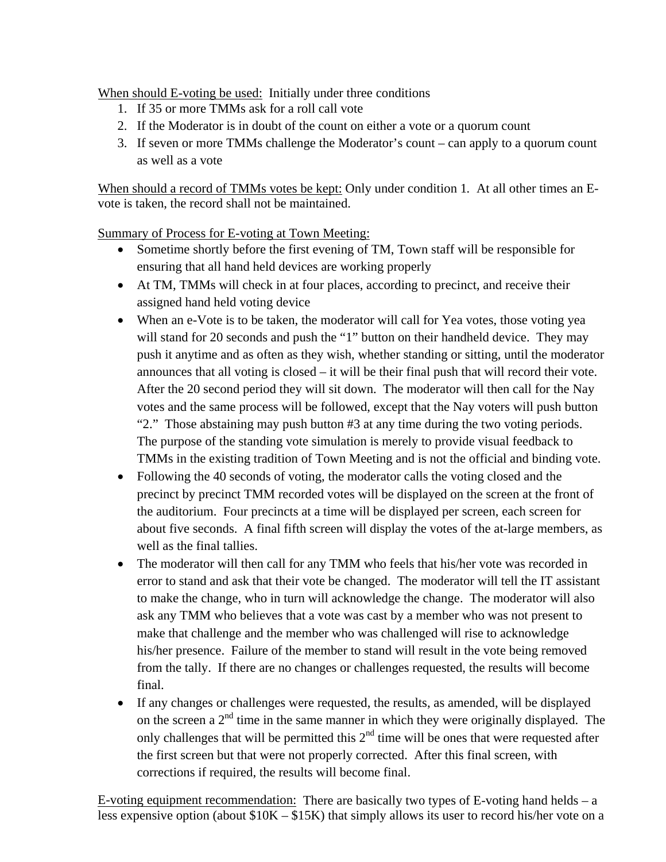When should E-voting be used: Initially under three conditions

- 1. If 35 or more TMMs ask for a roll call vote
- 2. If the Moderator is in doubt of the count on either a vote or a quorum count
- 3. If seven or more TMMs challenge the Moderator's count can apply to a quorum count as well as a vote

When should a record of TMMs votes be kept: Only under condition 1*.* At all other times an Evote is taken, the record shall not be maintained.

Summary of Process for E-voting at Town Meeting:

- Sometime shortly before the first evening of TM, Town staff will be responsible for ensuring that all hand held devices are working properly
- At TM, TMMs will check in at four places, according to precinct, and receive their assigned hand held voting device
- When an e-Vote is to be taken, the moderator will call for Yea votes, those voting yea will stand for 20 seconds and push the "1" button on their handheld device. They may push it anytime and as often as they wish, whether standing or sitting, until the moderator announces that all voting is closed – it will be their final push that will record their vote. After the 20 second period they will sit down. The moderator will then call for the Nay votes and the same process will be followed, except that the Nay voters will push button "2." Those abstaining may push button #3 at any time during the two voting periods. The purpose of the standing vote simulation is merely to provide visual feedback to TMMs in the existing tradition of Town Meeting and is not the official and binding vote.
- Following the 40 seconds of voting, the moderator calls the voting closed and the precinct by precinct TMM recorded votes will be displayed on the screen at the front of the auditorium. Four precincts at a time will be displayed per screen, each screen for about five seconds. A final fifth screen will display the votes of the at-large members, as well as the final tallies.
- The moderator will then call for any TMM who feels that his/her vote was recorded in error to stand and ask that their vote be changed. The moderator will tell the IT assistant to make the change, who in turn will acknowledge the change. The moderator will also ask any TMM who believes that a vote was cast by a member who was not present to make that challenge and the member who was challenged will rise to acknowledge his/her presence. Failure of the member to stand will result in the vote being removed from the tally. If there are no changes or challenges requested, the results will become final.
- If any changes or challenges were requested, the results, as amended, will be displayed on the screen a  $2<sup>nd</sup>$  time in the same manner in which they were originally displayed. The only challenges that will be permitted this  $2<sup>nd</sup>$  time will be ones that were requested after the first screen but that were not properly corrected. After this final screen, with corrections if required, the results will become final.

E-voting equipment recommendation: There are basically two types of E-voting hand helds – a less expensive option (about \$10K – \$15K) that simply allows its user to record his/her vote on a